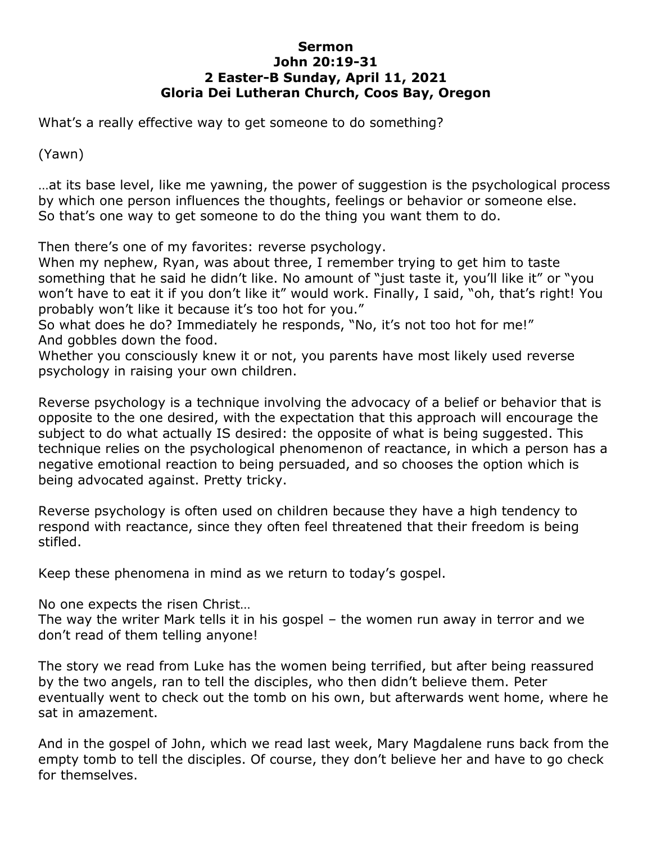## **Sermon John 20:19-31 2 Easter-B Sunday, April 11, 2021 Gloria Dei Lutheran Church, Coos Bay, Oregon**

What's a really effective way to get someone to do something?

(Yawn)

…at its base level, like me yawning, the power of suggestion is the psychological process by which one person influences the thoughts, feelings or behavior or someone else. So that's one way to get someone to do the thing you want them to do.

Then there's one of my favorites: reverse psychology.

When my nephew, Ryan, was about three, I remember trying to get him to taste something that he said he didn't like. No amount of "just taste it, you'll like it" or "you won't have to eat it if you don't like it" would work. Finally, I said, "oh, that's right! You probably won't like it because it's too hot for you."

So what does he do? Immediately he responds, "No, it's not too hot for me!" And gobbles down the food.

Whether you consciously knew it or not, you parents have most likely used reverse psychology in raising your own children.

Reverse psychology is a technique involving the advocacy of a belief or behavior that is opposite to the one desired, with the expectation that this approach will encourage the subject to do what actually IS desired: the opposite of what is being suggested. This technique relies on the psychological phenomenon of reactance, in which a person has a negative emotional reaction to being persuaded, and so chooses the option which is being advocated against. Pretty tricky.

Reverse psychology is often used on children because they have a high tendency to respond with reactance, since they often feel threatened that their freedom is being stifled.

Keep these phenomena in mind as we return to today's gospel.

No one expects the risen Christ…

The way the writer Mark tells it in his gospel – the women run away in terror and we don't read of them telling anyone!

The story we read from Luke has the women being terrified, but after being reassured by the two angels, ran to tell the disciples, who then didn't believe them. Peter eventually went to check out the tomb on his own, but afterwards went home, where he sat in amazement.

And in the gospel of John, which we read last week, Mary Magdalene runs back from the empty tomb to tell the disciples. Of course, they don't believe her and have to go check for themselves.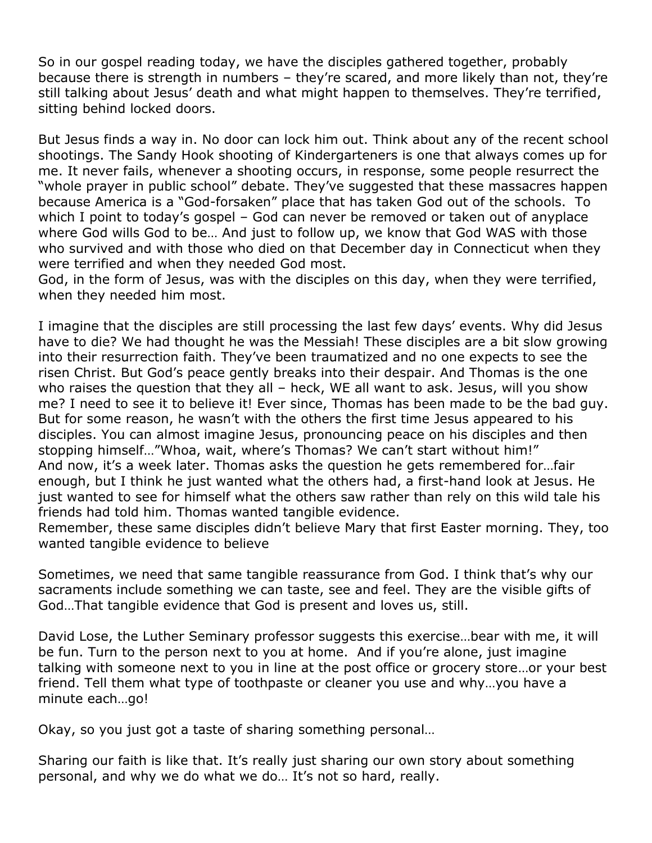So in our gospel reading today, we have the disciples gathered together, probably because there is strength in numbers – they're scared, and more likely than not, they're still talking about Jesus' death and what might happen to themselves. They're terrified, sitting behind locked doors.

But Jesus finds a way in. No door can lock him out. Think about any of the recent school shootings. The Sandy Hook shooting of Kindergarteners is one that always comes up for me. It never fails, whenever a shooting occurs, in response, some people resurrect the "whole prayer in public school" debate. They've suggested that these massacres happen because America is a "God-forsaken" place that has taken God out of the schools. To which I point to today's gospel – God can never be removed or taken out of anyplace where God wills God to be… And just to follow up, we know that God WAS with those who survived and with those who died on that December day in Connecticut when they were terrified and when they needed God most.

God, in the form of Jesus, was with the disciples on this day, when they were terrified, when they needed him most.

I imagine that the disciples are still processing the last few days' events. Why did Jesus have to die? We had thought he was the Messiah! These disciples are a bit slow growing into their resurrection faith. They've been traumatized and no one expects to see the risen Christ. But God's peace gently breaks into their despair. And Thomas is the one who raises the question that they all – heck, WE all want to ask. Jesus, will you show me? I need to see it to believe it! Ever since, Thomas has been made to be the bad guy. But for some reason, he wasn't with the others the first time Jesus appeared to his disciples. You can almost imagine Jesus, pronouncing peace on his disciples and then stopping himself…"Whoa, wait, where's Thomas? We can't start without him!" And now, it's a week later. Thomas asks the question he gets remembered for…fair enough, but I think he just wanted what the others had, a first-hand look at Jesus. He just wanted to see for himself what the others saw rather than rely on this wild tale his friends had told him. Thomas wanted tangible evidence.

Remember, these same disciples didn't believe Mary that first Easter morning. They, too wanted tangible evidence to believe

Sometimes, we need that same tangible reassurance from God. I think that's why our sacraments include something we can taste, see and feel. They are the visible gifts of God…That tangible evidence that God is present and loves us, still.

David Lose, the Luther Seminary professor suggests this exercise…bear with me, it will be fun. Turn to the person next to you at home. And if you're alone, just imagine talking with someone next to you in line at the post office or grocery store…or your best friend. Tell them what type of toothpaste or cleaner you use and why…you have a minute each…go!

Okay, so you just got a taste of sharing something personal…

Sharing our faith is like that. It's really just sharing our own story about something personal, and why we do what we do… It's not so hard, really.